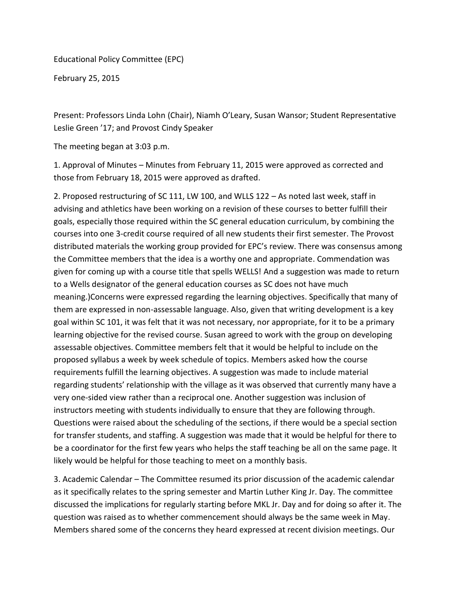Educational Policy Committee (EPC)

February 25, 2015

Present: Professors Linda Lohn (Chair), Niamh O'Leary, Susan Wansor; Student Representative Leslie Green '17; and Provost Cindy Speaker

The meeting began at 3:03 p.m.

1. Approval of Minutes – Minutes from February 11, 2015 were approved as corrected and those from February 18, 2015 were approved as drafted.

2. Proposed restructuring of SC 111, LW 100, and WLLS 122 – As noted last week, staff in advising and athletics have been working on a revision of these courses to better fulfill their goals, especially those required within the SC general education curriculum, by combining the courses into one 3-credit course required of all new students their first semester. The Provost distributed materials the working group provided for EPC's review. There was consensus among the Committee members that the idea is a worthy one and appropriate. Commendation was given for coming up with a course title that spells WELLS! And a suggestion was made to return to a Wells designator of the general education courses as SC does not have much meaning.)Concerns were expressed regarding the learning objectives. Specifically that many of them are expressed in non-assessable language. Also, given that writing development is a key goal within SC 101, it was felt that it was not necessary, nor appropriate, for it to be a primary learning objective for the revised course. Susan agreed to work with the group on developing assessable objectives. Committee members felt that it would be helpful to include on the proposed syllabus a week by week schedule of topics. Members asked how the course requirements fulfill the learning objectives. A suggestion was made to include material regarding students' relationship with the village as it was observed that currently many have a very one-sided view rather than a reciprocal one. Another suggestion was inclusion of instructors meeting with students individually to ensure that they are following through. Questions were raised about the scheduling of the sections, if there would be a special section for transfer students, and staffing. A suggestion was made that it would be helpful for there to be a coordinator for the first few years who helps the staff teaching be all on the same page. It likely would be helpful for those teaching to meet on a monthly basis.

3. Academic Calendar – The Committee resumed its prior discussion of the academic calendar as it specifically relates to the spring semester and Martin Luther King Jr. Day. The committee discussed the implications for regularly starting before MKL Jr. Day and for doing so after it. The question was raised as to whether commencement should always be the same week in May. Members shared some of the concerns they heard expressed at recent division meetings. Our